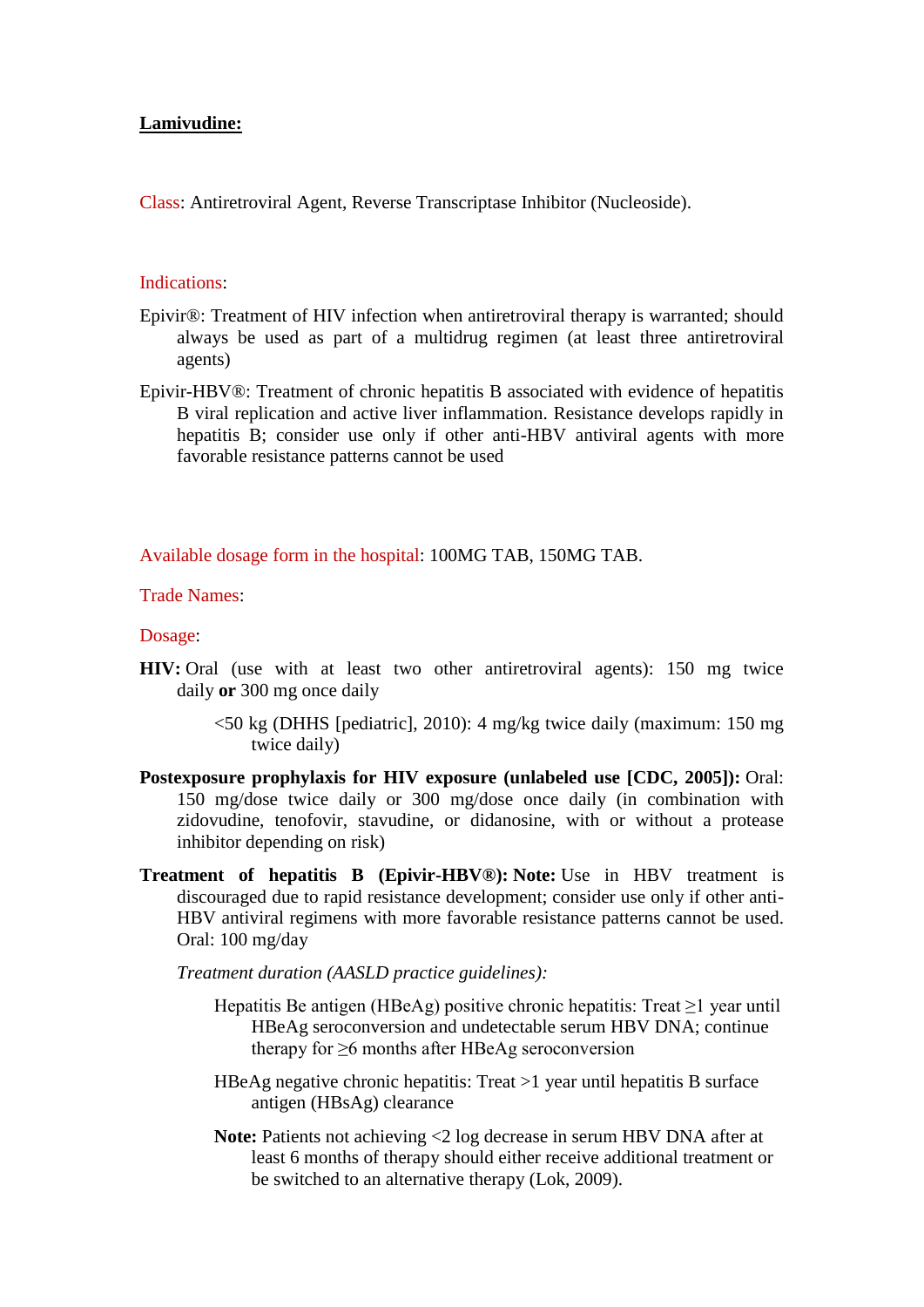## **Lamivudine:**

Class: Antiretroviral Agent, Reverse Transcriptase Inhibitor (Nucleoside).

### Indications:

- Epivir®: Treatment of HIV infection when antiretroviral therapy is warranted; should always be used as part of a multidrug regimen (at least three antiretroviral agents)
- Epivir-HBV®: Treatment of chronic hepatitis B associated with evidence of hepatitis B viral replication and active liver inflammation. Resistance develops rapidly in hepatitis B; consider use only if other anti-HBV antiviral agents with more favorable resistance patterns cannot be used

Available dosage form in the hospital: 100MG TAB, 150MG TAB.

Trade Names:

Dosage:

- **HIV:** Oral (use with at least two other antiretroviral agents): 150 mg twice daily **or** 300 mg once daily
	- $\leq$ 50 kg (DHHS [pediatric], 2010): 4 mg/kg twice daily (maximum: 150 mg) twice daily)
- **Postexposure prophylaxis for HIV exposure (unlabeled use [CDC, 2005]):** Oral: 150 mg/dose twice daily or 300 mg/dose once daily (in combination with zidovudine, tenofovir, stavudine, or didanosine, with or without a protease inhibitor depending on risk)
- **Treatment of hepatitis B (Epivir-HBV®): Note:** Use in HBV treatment is discouraged due to rapid resistance development; consider use only if other anti-HBV antiviral regimens with more favorable resistance patterns cannot be used. Oral: 100 mg/day

*Treatment duration (AASLD practice guidelines):*

- Hepatitis Be antigen (HBeAg) positive chronic hepatitis: Treat  $\geq 1$  year until HBeAg seroconversion and undetectable serum HBV DNA; continue therapy for ≥6 months after HBeAg seroconversion
- HBeAg negative chronic hepatitis: Treat >1 year until hepatitis B surface antigen (HBsAg) clearance
- **Note:** Patients not achieving <2 log decrease in serum HBV DNA after at least 6 months of therapy should either receive additional treatment or be switched to an alternative therapy (Lok, 2009).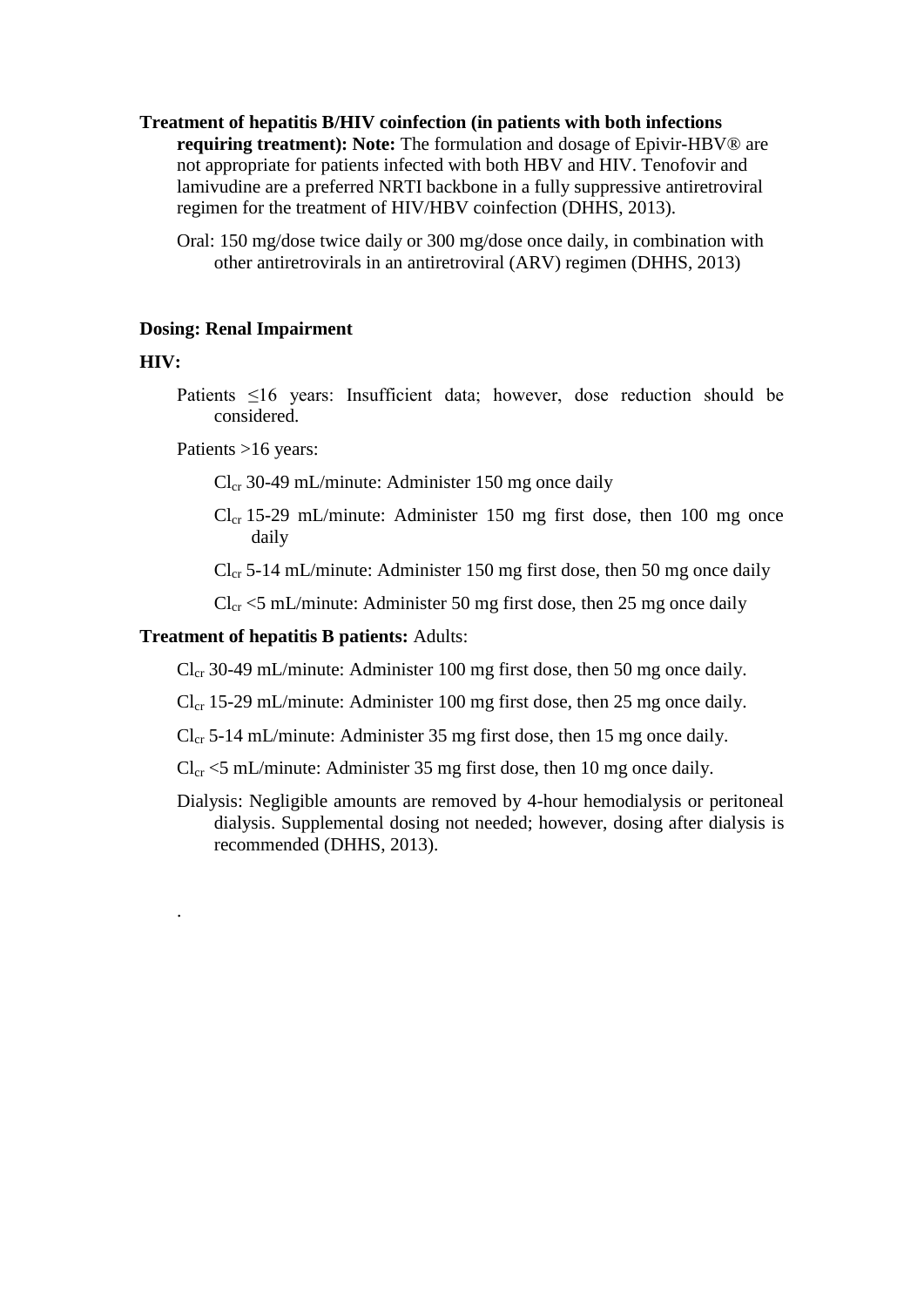- **Treatment of hepatitis B/HIV coinfection (in patients with both infections requiring treatment): Note:** The formulation and dosage of Epivir-HBV<sup>®</sup> are not appropriate for patients infected with both HBV and HIV. Tenofovir and lamivudine are a preferred NRTI backbone in a fully suppressive antiretroviral regimen for the treatment of HIV/HBV coinfection (DHHS, 2013).
	- Oral: 150 mg/dose twice daily or 300 mg/dose once daily, in combination with other antiretrovirals in an antiretroviral (ARV) regimen (DHHS, 2013)

#### **Dosing: Renal Impairment**

### **HIV:**

.

Patients ≤16 years: Insufficient data; however, dose reduction should be considered.

Patients >16 years:

- $Cl<sub>cr</sub>$  30-49 mL/minute: Administer 150 mg once daily
- $Cl_{cr}$  15-29 mL/minute: Administer 150 mg first dose, then 100 mg once daily
- $Cl_{cr}$  5-14 mL/minute: Administer 150 mg first dose, then 50 mg once daily
- $Cl_{cr}$  <5 mL/minute: Administer 50 mg first dose, then 25 mg once daily

## **Treatment of hepatitis B patients:** Adults:

 $Cl_{cr}$  30-49 mL/minute: Administer 100 mg first dose, then 50 mg once daily.

- $Cl_{cr}$  15-29 mL/minute: Administer 100 mg first dose, then 25 mg once daily.
- $Cl_{cr}$  5-14 mL/minute: Administer 35 mg first dose, then 15 mg once daily.
- $Cl_{cr}$  <5 mL/minute: Administer 35 mg first dose, then 10 mg once daily.
- Dialysis: Negligible amounts are removed by 4-hour hemodialysis or peritoneal dialysis. Supplemental dosing not needed; however, dosing after dialysis is recommended (DHHS, 2013).